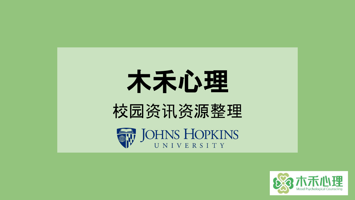





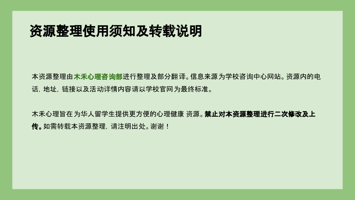# 资源整理使用须知及转载说明

本资源整理由木禾心理咨询部进行整理及部分翻译。信息来源为学校咨询中心网站。资源内的电 话,地址,链接以及活动详情内容请以学校官网为最终标准。

木禾心理旨在为华人留学生提供更方便的心理健康 资源。禁止对本资源整理进行二次修改及上 传。如需转载本资源整理,请注明出处。谢谢!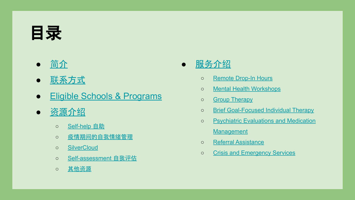# <span id="page-2-0"></span>目录

- [简](#page-3-0)介
- 联[系方式](#page-4-0)
- [Eligible Schools & Programs](#page-5-0)
- 资[源介](#page-15-0)绍
	- o [Self-help](#page-15-0) 自助
	- o 疫情期间[的自我情](#page-15-0)绪管理
	- o [SilverCloud](#page-15-0)
	- [Self-assessment](#page-16-0) 自我评估
	- [其他](#page-17-0)资源

## ● [服](#page-6-0)务介绍

- o [Remote Drop-In Hours](#page-7-0)
- [Mental Health Workshops](#page-8-0)
- o [Group Therapy](#page-9-0)
- o [Brief Goal-Focused Individual Therapy](#page-10-0)
- [Psychiatric Evaluations and Medication](#page-11-0) **[Management](#page-11-0)**
- [Referral Assistance](#page-12-0)
- [Crisis and Emergency Services](#page-13-0)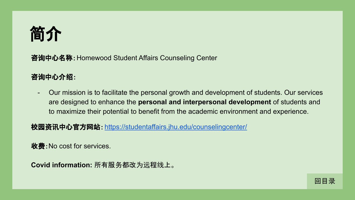<span id="page-3-0"></span>

咨询中心名称:Homewood Student Affairs Counseling Center

### 咨询中心介绍:

- Our mission is to facilitate the personal growth and development of students. Our services are designed to enhance the **personal and interpersonal development** of students and to maximize their potential to benefit from the academic environment and experience.

校园资讯中心官方网站: <https://studentaffairs.jhu.edu/counselingcenter/>

收费:No cost for services.

**Covid information:** 所有服务都改为远程线上。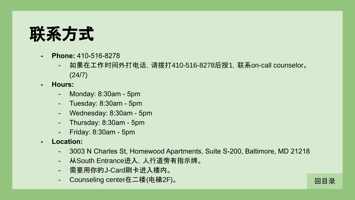<span id="page-4-0"></span>

- **- Phone:** 410-516-8278
	- 如果在工作时间外打电话,请拨打410-516-8278后按1,联系on-call counselor。 (24/7)
- **- Hours:** 
	- Monday: 8:30am 5pm
	- Tuesday: 8:30am 5pm
	- Wednesday: 8:30am 5pm
	- Thursday: 8:30am 5pm
	- Friday: 8:30am 5pm
- **- Location:** 
	- 3003 N Charles St, Homewood Apartments, Suite S-200, Baltimore, MD 21218

[回目](#page-2-0)录

- 从South Entrance进入,人行道旁有指示牌。
- 需要用你的J-Card刷卡进入楼内。
- Counseling center在二楼(电梯2F)。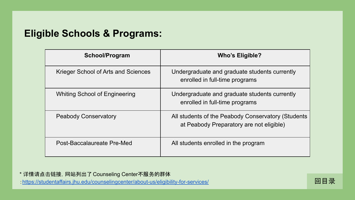## <span id="page-5-0"></span>**Eligible Schools & Programs:**

| School/Program                      | <b>Who's Eligible?</b>                                                                         |
|-------------------------------------|------------------------------------------------------------------------------------------------|
| Krieger School of Arts and Sciences | Undergraduate and graduate students currently<br>enrolled in full-time programs                |
| Whiting School of Engineering       | Undergraduate and graduate students currently<br>enrolled in full-time programs                |
| <b>Peabody Conservatory</b>         | All students of the Peabody Conservatory (Students<br>at Peabody Preparatory are not eligible) |
| Post-Baccalaureate Pre-Med          | All students enrolled in the program                                                           |

\* 详情请点击链接,网站列出了Counseling Center不服务的群体 :<https://studentaffairs.jhu.edu/counselingcenter/about-us/eligibility-for-services/> Dental Council Council Counseling entant and the services of the services of the services of the services of the services of the services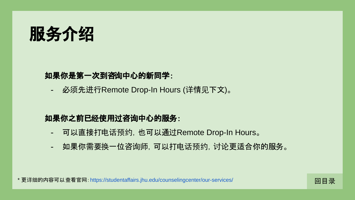<span id="page-6-0"></span>

### 如果你是第一次到咨询中心的新同学:

- 必须先进行Remote Drop-In Hours (详情见下文)。

### 如果你之前已经使用过咨询中心的服务:

- 可以直接打电话预约,也可以通过Remote Drop-In Hours。
- 如果你需要换一位咨询师, 可以打电话预约, 讨论更适合你的服务。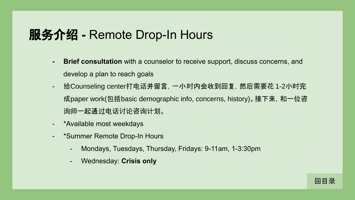## <span id="page-7-0"></span>服务介绍 **-** Remote Drop-In Hours

- **- Brief consultation** with a counselor to receive support, discuss concerns, and develop a plan to reach goals
- 给Counseling center打电话并留言,一小时内会收到回复,然后需要花 1-2小时完 成paper work(包括basic demographic info, concerns, history)。接下来, 和一位咨 询师一起通过电话讨论咨询计划。
- \*Available most weekdays
- \*Summer Remote Drop-In Hours
	- Mondays, Tuesdays, Thursday, Fridays: 9-11am, 1-3:30pm
	- Wednesday: **Crisis only**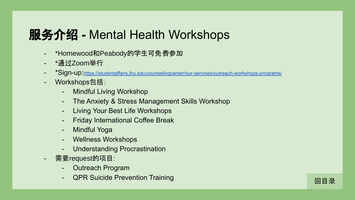# <span id="page-8-0"></span>服务介绍 **-** Mental Health Workshops

- \*Homewood和Peabody的学生可免费参加
- \*通过Zoom举行
- \*Sign-up:<https://studentaffairs.jhu.edu/counselingcenter/our-services/outreach-workshops-programs/>
- Workshops包括:
	- Mindful Living Workshop
	- The Anxiety & Stress Management Skills Workshop
	- Living Your Best Life Workshops
	- Friday International Coffee Break
	- Mindful Yoga
	- Wellness Workshops
	- Understanding Procrastination
- 需要request的项目:
	- Outreach Program
	- QPR Suicide Prevention Training Device Device Device Device Device Device Device Device Device De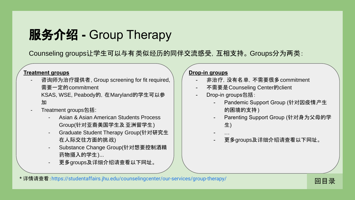# <span id="page-9-0"></span>服务介绍 **-** Group Therapy

Counseling groups让学生可以与有类似经历的同伴交流感受,互相支持。 Groups分为两类:

#### **Treatment groups**

- 咨询师为治疗提供者, Group screening for fit required, 需要一定的commitment

KSAS, WSE, Peabody的,在Maryland的学生可以参 加

- Treatment groups包括:
	- Asian & Asian American Students Process Group(针对亚裔美国学生及亚洲留学生)
	- Graduate Student Therapy Group(针对研究生 在人际交往方面的挑战)
	- Substance Change Group(针对想要控制酒精 药物摄入的学生)...
	- 更多groups及详细介绍请查看以下网址。

#### **Drop-in groups**

- 非治疗,没有名单,不需要很多commitment
- 不需要是Counseling Center的client
- Drop-in groups包括:
	- Pandemic Support Group (针对因疫情产生 的困境的支持)
	- Parenting Support Group (针对身为父母的学 生)
	- …
	- 更多groups及详细介绍请查看以下网址。

\* 详情请查看:<https://studentaffairs.jhu.edu/counselingcenter/our-services/group-therapy/>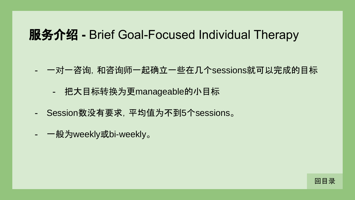## <span id="page-10-0"></span>服务介绍 **-** Brief Goal-Focused Individual Therapy

- 一对一咨询,和咨询师一起确立一些在几个sessions就可以完成的目标
	- 把大目标转换为更manageable的小目标
- Session数没有要求,平均值为不到5个sessions。
- 一般为weekly或bi-weekly。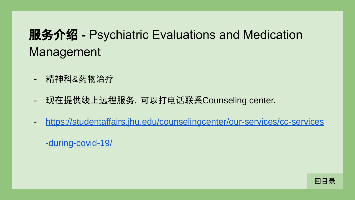# <span id="page-11-0"></span>服务介绍 **-** Psychiatric Evaluations and Medication Management

- 精神科&药物治疗
- 现在提供线上远程服务,可以打电话联系Counseling center.
- [https://studentaffairs.jhu.edu/counselingcenter/our-services/cc-services](https://studentaffairs.jhu.edu/counselingcenter/our-services/cc-services-during-covid-19/)

[-during-covid-19/](https://studentaffairs.jhu.edu/counselingcenter/our-services/cc-services-during-covid-19/)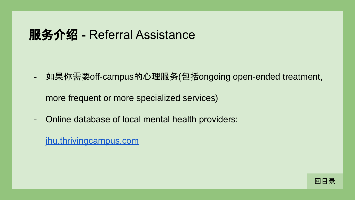# <span id="page-12-0"></span>服务介绍 **-** Referral Assistance

- 如果你需要off-campus的心理服务(包括ongoing open-ended treatment,

more frequent or more specialized services)

- Online database of local mental health providers:

[jhu.thrivingcampus.com](https://jhu.thrivingcampus.com/)

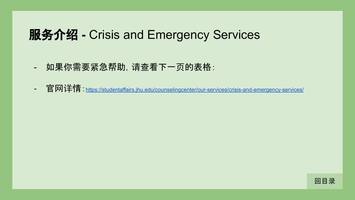# <span id="page-13-0"></span>服务介绍 **-** Crisis and Emergency Services

- 如果你需要紧急帮助,请查看下一页的表格:
- 官网详情:<https://studentaffairs.jhu.edu/counselingcenter/our-services/crisis-and-emergency-services/>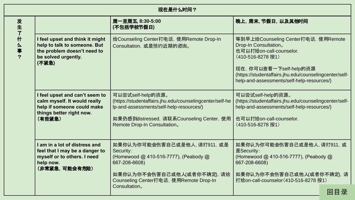| 现在是什么时间?                    |                                                                                                                                    |                                                                                                                                                                                                        |                                                                                                                                                                                                                                                 |
|-----------------------------|------------------------------------------------------------------------------------------------------------------------------------|--------------------------------------------------------------------------------------------------------------------------------------------------------------------------------------------------------|-------------------------------------------------------------------------------------------------------------------------------------------------------------------------------------------------------------------------------------------------|
| 发生了<br>$\ddot{}$<br>么事<br>? |                                                                                                                                    | 周一至周五, 8:30-5:00<br>(不包括学校节假日)                                                                                                                                                                         | 晚上, 周末, 节假日, 以及其他时间                                                                                                                                                                                                                             |
|                             | I feel upset and think it might<br>help to talk to someone. But<br>the problem doesn't need to<br>be solved urgently.<br>(不紧急)     | 给Counseling Center打电话, 使用Remote Drop-In<br>Consultation, 或是预约近期的咨询。                                                                                                                                    | 等到早上给Counseling Center打电话, 使用Remote<br>Drop-In Consultation.<br>也可以打给on-call-counselor.<br>(410-516-8278 按1)<br>现在, 你可以查看一下self-help的资源<br>(https://studentaffairs.jhu.edu/counselingcenter/self-<br>help-and-assessments/self-help-resources/) |
|                             | I feel upset and can't seem to<br>calm myself. It would really<br>help if someone could make<br>things better right now.<br>(有些紧急) | 可以尝试self-help的资源。<br>(https://studentaffairs.jhu.edu/counselingcenter/self-he<br>lp-and-assessments/self-help-resources/)<br>如果仍感到distressed, 请联系Counseling Center, 使用<br>Remote Drop-In Consultation. | 可以尝试self-help的资源。<br>(https://studentaffairs.jhu.edu/counselingcenter/self-<br>help-and-assessments/self-help-resources/)<br>也可以打给on-call-counselor.<br>(410-516-8278 按1)                                                                       |
|                             | I am in a lot of distress and<br>feel that I may be a danger to<br>myself or to others. I need<br>help now.<br>(非常紧急,可能会有危险)       | 如果你认为你可能会伤害自己或是他人, 请打911, 或是<br>Security:<br>(Homewood @ 410-516-7777), (Peabody @<br>667-208-6608)<br>如果你认为你不会伤害自己或他人(或者你不确定), 请给<br>Counseling Center打电话, 使用Remote Drop-In                           | 如果你认为你可能会伤害自己或是他人, 请打911, 或<br>是Security:<br>(Homewood @ 410-516-7777), (Peabody @<br>667-208-6608)<br>如果你认为你不会伤害自己或他人(或者你不确定), 请<br>打给on-call-counselor (410-516-8278 按1)                                                                      |
|                             |                                                                                                                                    | Consultation <sub>o</sub>                                                                                                                                                                              | 回目录                                                                                                                                                                                                                                             |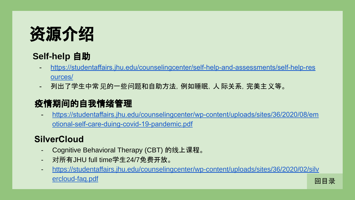<span id="page-15-0"></span>

## **Self-help** 自助

- [https://studentaffairs.jhu.edu/counselingcenter/self-help-and-assessments/self-help-res](https://studentaffairs.jhu.edu/counselingcenter/self-help-and-assessments/self-help-resources/) [ources/](https://studentaffairs.jhu.edu/counselingcenter/self-help-and-assessments/self-help-resources/)
- 列出了学生中常见的一些问题和自助方法,例如睡眠,人 际关系,完美主义等。

## 疫情期间的自我情绪管理

- [https://studentaffairs.jhu.edu/counselingcenter/wp-content/uploads/sites/36/2020/08/em](https://studentaffairs.jhu.edu/counselingcenter/wp-content/uploads/sites/36/2020/08/emotional-self-care-duing-covid-19-pandemic.pdf) [otional-self-care-duing-covid-19-pandemic.pdf](https://studentaffairs.jhu.edu/counselingcenter/wp-content/uploads/sites/36/2020/08/emotional-self-care-duing-covid-19-pandemic.pdf)

## **SilverCloud**

- Cognitive Behavioral Therapy (CBT) 的线上课程。
- 对所有JHU full time学生24/7免费开放。
- [https://studentaffairs.jhu.edu/counselingcenter/wp-content/uploads/sites/36/2020/02/silv](https://studentaffairs.jhu.edu/counselingcenter/wp-content/uploads/sites/36/2020/02/silvercloud-faq.pdf) [ercloud-faq.pdf](https://studentaffairs.jhu.edu/counselingcenter/wp-content/uploads/sites/36/2020/02/silvercloud-faq.pdf) [回目](#page-2-0)录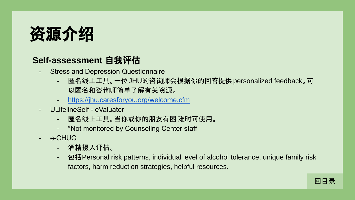<span id="page-16-0"></span>

## **Self-assessment** 自我评估

- Stress and Depression Questionnaire
	- 匿名线上工具。一位JHU的咨询师会根据你的回答提供personalized feedback。可 以匿名和咨询师简单了解有关资源。
	- <https://jhu.caresforyou.org/welcome.cfm>
- ULifelineSelf eValuator
	- 匿名线上工具。当你或你的朋友有困 难时可使用。
	- \*Not monitored by Counseling Center staff
- e-CHUG
	- 酒精摄入评估。
	- 包括Personal risk patterns, individual level of alcohol tolerance, unique family risk factors, harm reduction strategies, helpful resources.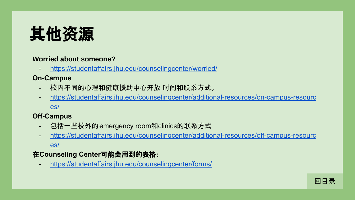<span id="page-17-0"></span>

#### **Worried about someone?**

<https://studentaffairs.jhu.edu/counselingcenter/worried/>

### **On-Campus**

- 校内不同的心理和健康援助中心开放 时间和联系方式。
- [https://studentaffairs.jhu.edu/counselingcenter/additional-resources/on-campus-resourc](https://studentaffairs.jhu.edu/counselingcenter/additional-resources/on-campus-resources/) [es/](https://studentaffairs.jhu.edu/counselingcenter/additional-resources/on-campus-resources/)

### **Off-Campus**

- 包括一些校外的emergency room和clinics的联系方式
- [https://studentaffairs.jhu.edu/counselingcenter/additional-resources/off-campus-resourc](https://studentaffairs.jhu.edu/counselingcenter/additional-resources/off-campus-resources/) [es/](https://studentaffairs.jhu.edu/counselingcenter/additional-resources/off-campus-resources/)

### 在**Counseling Center**可能会用到的表格:

- <https://studentaffairs.jhu.edu/counselingcenter/forms/>